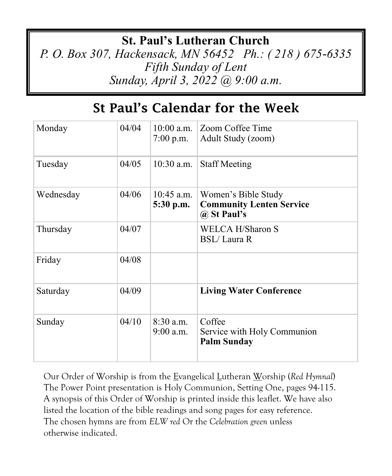### **St. Paul's Lutheran Church**

*P. O. Box 307, Hackensack, MN 56452 Ph.: ( 218 ) 675-6335 Fifth Sunday of Lent Sunday, April 3, 2022 @ 9:00 a.m.*

## St Paul's Calendar for the Week

| Monday    | 04/04 | $7:00$ p.m.                | 10:00 a.m. Zoom Coffee Time<br>Adult Study (zoom)                     |
|-----------|-------|----------------------------|-----------------------------------------------------------------------|
| Tuesday   | 04/05 | $10:30$ a.m.               | <b>Staff Meeting</b>                                                  |
| Wednesday | 04/06 | $10:45$ a.m.<br>5:30 p.m.  | Women's Bible Study<br><b>Community Lenten Service</b><br>@ St Paul's |
| Thursday  | 04/07 |                            | <b>WELCA H/Sharon S</b><br><b>BSL/Laura R</b>                         |
| Friday    | 04/08 |                            |                                                                       |
| Saturday  | 04/09 |                            | <b>Living Water Conference</b>                                        |
| Sunday    | 04/10 | $8:30$ a.m.<br>$9:00$ a.m. | Coffee<br>Service with Holy Communion<br><b>Palm Sunday</b>           |

Our Order of Worship is from the Evangelical Lutheran Worship (*Red Hymnal*) The Power Point presentation is Holy Communion, Setting One, pages 94-115. A synopsis of this Order of Worship is printed inside this leaflet. We have also listed the location of the bible readings and song pages for easy reference. The chosen hymns are from *ELW red* Or the *Celebration green* unless otherwise indicated.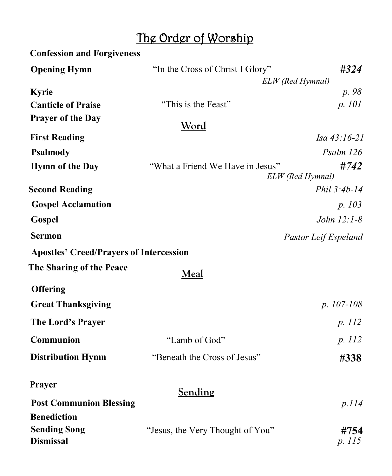# The Order of Worship

| <b>Confession and Forgiveness</b>              |                                  |                          |
|------------------------------------------------|----------------------------------|--------------------------|
| <b>Opening Hymn</b>                            | "In the Cross of Christ I Glory" | #324                     |
|                                                |                                  | ELW (Red Hymnal)         |
| Kyrie                                          |                                  | p. 98                    |
| <b>Canticle of Praise</b>                      | "This is the Feast"              | p. 101                   |
| <b>Prayer of the Day</b>                       | <u>Word</u>                      |                          |
| <b>First Reading</b>                           |                                  | Isa 43:16-21             |
| <b>Psalmody</b>                                |                                  | Psalm 126                |
| <b>Hymn of the Day</b>                         | "What a Friend We Have in Jesus" | #742<br>ELW (Red Hymnal) |
| <b>Second Reading</b>                          |                                  | Phil 3:4b-14             |
| <b>Gospel Acclamation</b>                      |                                  | p. 103                   |
| Gospel                                         |                                  | John 12:1-8              |
| <b>Sermon</b>                                  |                                  | Pastor Leif Espeland     |
| <b>Apostles' Creed/Prayers of Intercession</b> |                                  |                          |
| The Sharing of the Peace                       | Meal                             |                          |
| <b>Offering</b>                                |                                  |                          |
| <b>Great Thanksgiving</b>                      |                                  | $p. 107-108$             |
| The Lord's Prayer                              |                                  | p. 112                   |
| Communion                                      | "Lamb of God"                    | p. 112                   |
| <b>Distribution Hymn</b>                       | "Beneath the Cross of Jesus"     | #338                     |
| Prayer                                         | Sending                          |                          |
| <b>Post Communion Blessing</b>                 |                                  | p.114                    |
| <b>Benediction</b>                             |                                  |                          |
| <b>Sending Song</b><br><b>Dismissal</b>        | "Jesus, the Very Thought of You" | #754<br>p. 115           |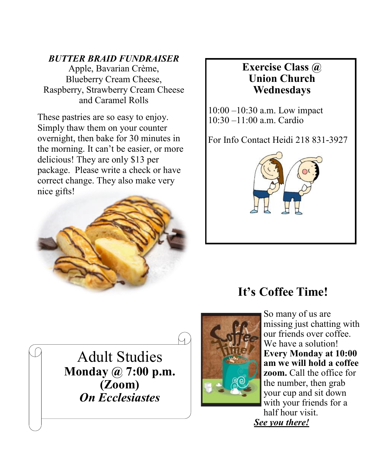#### *BUTTER BRAID FUNDRAISER*

Apple, Bavarian Crème, Blueberry Cream Cheese, Raspberry, Strawberry Cream Cheese and Caramel Rolls

These pastries are so easy to enjoy. Simply thaw them on your counter overnight, then bake for 30 minutes in the morning. It can't be easier, or more delicious! They are only \$13 per package. Please write a check or have correct change. They also make very nice gifts!



#### **Exercise Class @ Union Church Wednesdays**

10:00 –10:30 a.m. Low impact 10:30 –11:00 a.m. Cardio

For Info Contact Heidi 218 831-3927



## **It's Coffee Time!**

Adult Studies **Monday @ 7:00 p.m. (Zoom)** *On Ecclesiastes*



So many of us are missing just chatting with our friends over coffee. We have a solution! **Every Monday at 10:00 am we will hold a coffee zoom.** Call the office for the number, then grab your cup and sit down with your friends for a half hour visit. *See you there!*